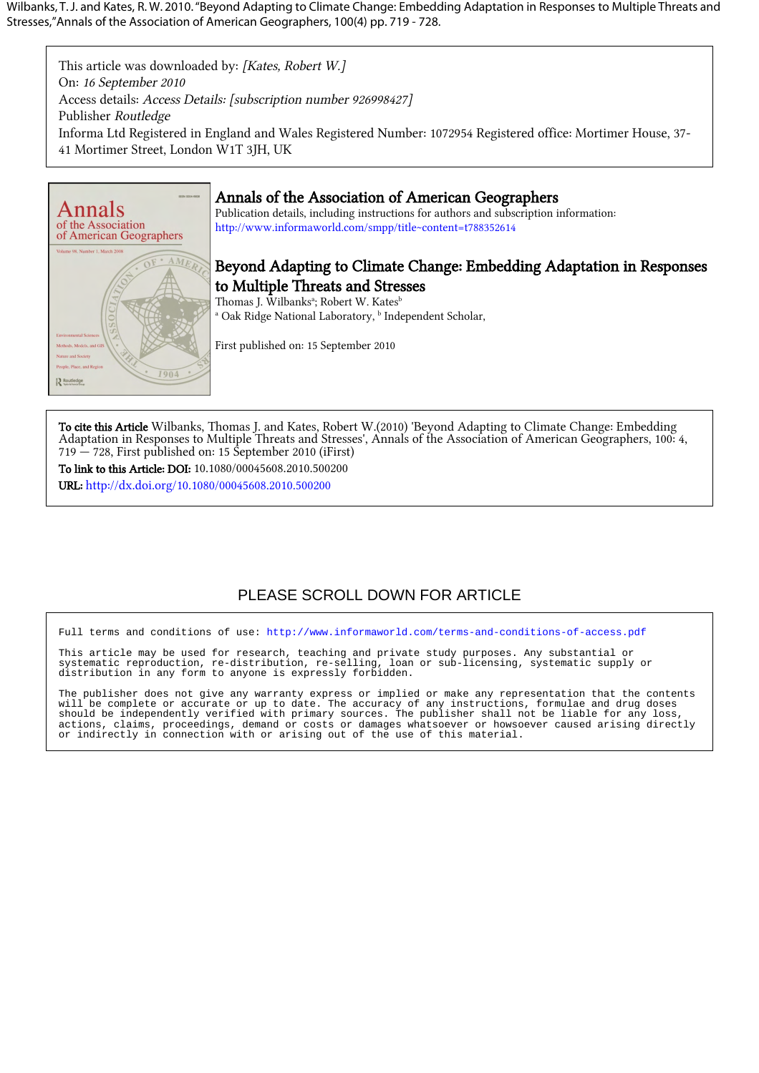Wilbanks, T. J. and Kates, R. W. 2010. "Beyond Adapting to Climate Change: Embedding Adaptation in Responses to Multiple Threats and Stresses," Annals of the Association of American Geographers, 100(4) pp. 719 - 728.

This article was downloaded by: [Kates, Robert W.] On: 16 September 2010 Access details: Access Details: [subscription number 926998427] Publisher Routledge Informa Ltd Registered in England and Wales Registered Number: 1072954 Registered office: Mortimer House, 37- 41 Mortimer Street, London W1T 3JH, UK



#### Annals of the Association of American Geographers Publication details, including instructions for authors and subscription information: <http://www.informaworld.com/smpp/title~content=t788352614>

# Beyond Adapting to Climate Change: Embedding Adaptation in Responses to Multiple Threats and Stresses

Thomas J. Wilbanks<sup>a</sup>; Robert W. Kates<sup>b</sup> <sup>a</sup> Oak Ridge National Laboratory, <sup>b</sup> Independent Scholar,

First published on: 15 September 2010

To cite this Article Wilbanks, Thomas J. and Kates, Robert W.(2010) 'Beyond Adapting to Climate Change: Embedding Adaptation in Responses to Multiple Threats and Stresses', Annals of the Association of American Geographers, 100: 4, 719 — 728, First published on: 15 September 2010 (iFirst)

To link to this Article: DOI: 10.1080/00045608.2010.500200 URL: <http://dx.doi.org/10.1080/00045608.2010.500200>

# PLEASE SCROLL DOWN FOR ARTICLE

Full terms and conditions of use:<http://www.informaworld.com/terms-and-conditions-of-access.pdf>

This article may be used for research, teaching and private study purposes. Any substantial or systematic reproduction, re-distribution, re-selling, loan or sub-licensing, systematic supply or distribution in any form to anyone is expressly forbidden.

The publisher does not give any warranty express or implied or make any representation that the contents will be complete or accurate or up to date. The accuracy of any instructions, formulae and drug doses should be independently verified with primary sources. The publisher shall not be liable for any loss, actions, claims, proceedings, demand or costs or damages whatsoever or howsoever caused arising directly or indirectly in connection with or arising out of the use of this material.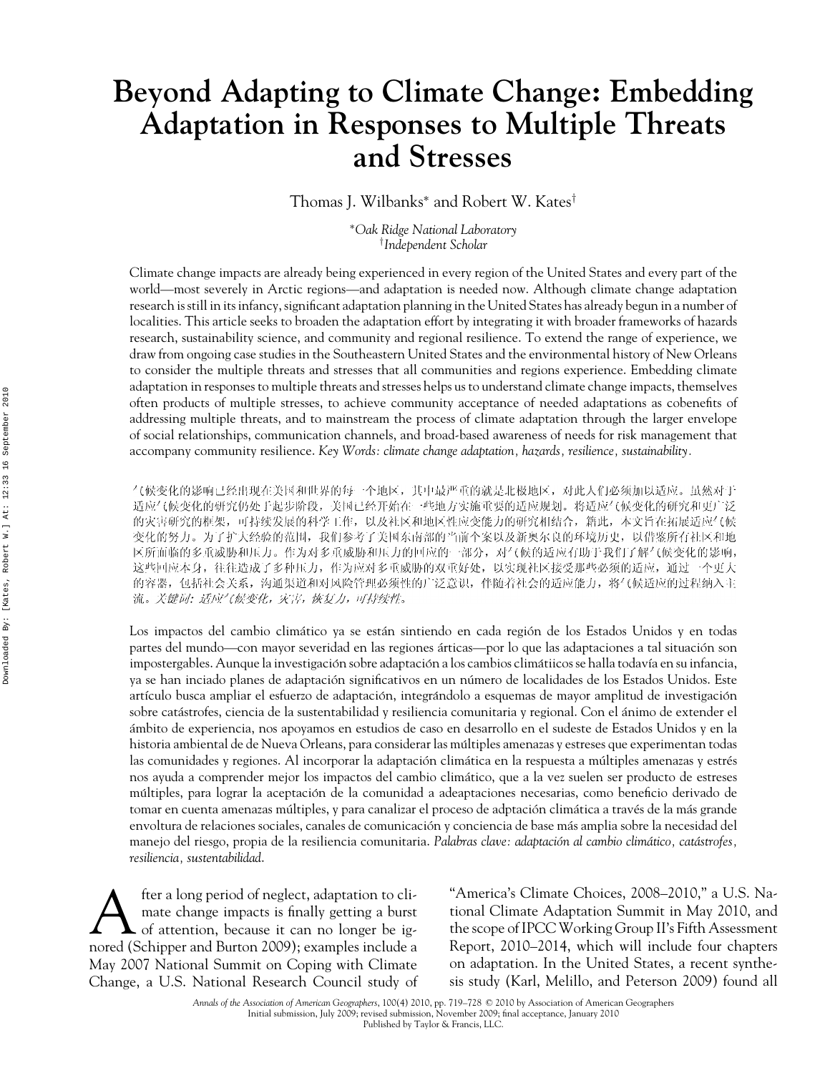# **Beyond Adapting to Climate Change: Embedding Adaptation in Responses to Multiple Threats and Stresses**

Thomas J. Wilbanks<sup>∗</sup> and Robert W. Kates†

<sup>∗</sup>*Oak Ridge National Laboratory* † *Independent Scholar*

Climate change impacts are already being experienced in every region of the United States and every part of the world—most severely in Arctic regions—and adaptation is needed now. Although climate change adaptation research is still in its infancy, significant adaptation planning in the United States has already begun in a number of localities. This article seeks to broaden the adaptation effort by integrating it with broader frameworks of hazards research, sustainability science, and community and regional resilience. To extend the range of experience, we draw from ongoing case studies in the Southeastern United States and the environmental history of New Orleans to consider the multiple threats and stresses that all communities and regions experience. Embedding climate adaptation in responses to multiple threats and stresses helps us to understand climate change impacts, themselves often products of multiple stresses, to achieve community acceptance of needed adaptations as cobenefits of addressing multiple threats, and to mainstream the process of climate adaptation through the larger envelope of social relationships, communication channels, and broad-based awareness of needs for risk management that accompany community resilience. *Key Words: climate change adaptation, hazards, resilience, sustainability.*

气候变化的影响已经出现在美国和世界的每一个地区,其中最严重的就是北极地区,对此人们必须加以适应。虽然对于 适应气候变化的研究仍处于起步阶段,美国已经开始在一些地方实施重要的适应规划。将适应气候变化的研究和更广泛 的灾害研究的框架,可持续发展的科学工作,以及社区和地区性应变能力的研究相结合,籍此,本文旨在拓展适应气候 变化的努力。为了扩大经验的范围,我们参考了美国东南部的当前个案以及新奥尔良的环境历史,以借鉴所有社区和地 区所面临的多重威胁和压力。作为对多重威胁和压力的回应的一部分,对气候的适应有助于我们了解气候变化的影响, 这些回应本身,往往造成了多种压力,作为应对多重威胁的双重好处,以实现社区接受那些必须的适应,通过一个更大 的容器,包括社会关系,沟通渠道和对风险管理必须性的广泛意识,伴随着社会的适应能力,将气候适应的过程纳入主 流。关键词: 适应气候变化, 灾害, 恢复力, 可持续性。

Los impactos del cambio climático ya se están sintiendo en cada región de los Estados Unidos y en todas partes del mundo—con mayor severidad en las regiones árticas—por lo que las adaptaciones a tal situación son impostergables. Aunque la investigación sobre adaptación a los cambios climátiicos se halla todavía en su infancia, ya se han inciado planes de adaptación significativos en un número de localidades de los Estados Unidos. Este artículo busca ampliar el esfuerzo de adaptación, integrándolo a esquemas de mayor amplitud de investigación sobre catástrofes, ciencia de la sustentabilidad y resiliencia comunitaria y regional. Con el ánimo de extender el ambito de experiencia, nos apoyamos en estudios de caso en desarrollo en el sudeste de Estados Unidos y en la ´ historia ambiental de de Nueva Orleans, para considerar las multiples amenazas y estreses que experimentan todas ´ las comunidades y regiones. Al incorporar la adaptación climática en la respuesta a múltiples amenazas y estrés nos ayuda a comprender mejor los impactos del cambio climatico, que a la vez suelen ser producto de estreses ´ múltiples, para lograr la aceptación de la comunidad a adeaptaciones necesarias, como beneficio derivado de tomar en cuenta amenazas múltiples, y para canalizar el proceso de adptación climática a través de la más grande envoltura de relaciones sociales, canales de comunicación y conciencia de base más amplia sobre la necesidad del manejo del riesgo, propia de la resiliencia comunitaria. *Palabras clave: adaptacion al cambio clim ´ atico, cat ´ astrofes, ´ resiliencia, sustentabilidad*.

fter a long period of neglect, adaptation to cli-<br>mate change impacts is finally getting a burst<br>of attention, because it can no longer be ig-<br>nored (Sekinner and Burton 2000), symmles include a mate change impacts is finally getting a burst of attention, because it can no longer be ignored (Schipper and Burton 2009); examples include a May 2007 National Summit on Coping with Climate Change, a U.S. National Research Council study of "America's Climate Choices, 2008–2010," a U.S. National Climate Adaptation Summit in May 2010, and the scope of IPCC Working Group II's Fifth Assessment Report, 2010–2014, which will include four chapters on adaptation. In the United States, a recent synthesis study (Karl, Melillo, and Peterson 2009) found all

Annals of the Association of American Geographers, 100(4) 2010, pp. 719–728 © 2010 by Association of American Geographers Initial submission, July 2009; revised submission, November 2009; final acceptance, January 2010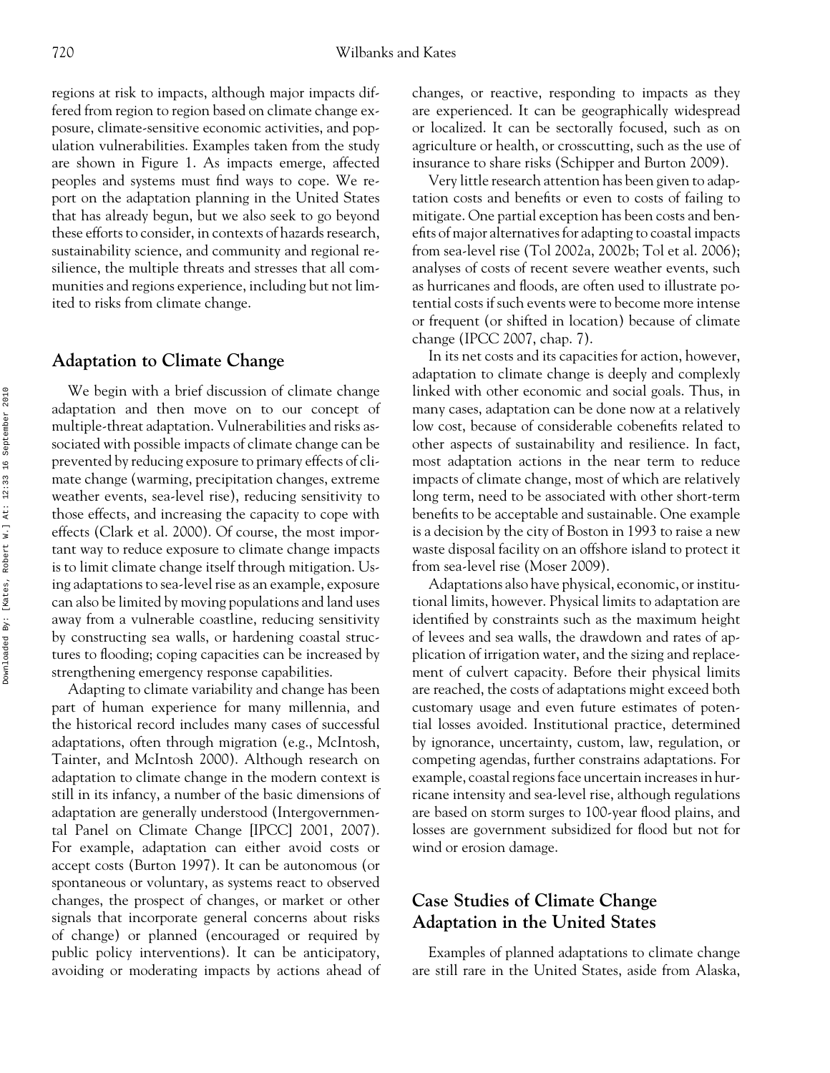regions at risk to impacts, although major impacts differed from region to region based on climate change exposure, climate-sensitive economic activities, and population vulnerabilities. Examples taken from the study are shown in Figure 1. As impacts emerge, affected peoples and systems must find ways to cope. We report on the adaptation planning in the United States that has already begun, but we also seek to go beyond these efforts to consider, in contexts of hazards research, sustainability science, and community and regional resilience, the multiple threats and stresses that all communities and regions experience, including but not limited to risks from climate change.

## **Adaptation to Climate Change**

We begin with a brief discussion of climate change adaptation and then move on to our concept of multiple-threat adaptation. Vulnerabilities and risks associated with possible impacts of climate change can be prevented by reducing exposure to primary effects of climate change (warming, precipitation changes, extreme weather events, sea-level rise), reducing sensitivity to those effects, and increasing the capacity to cope with effects (Clark et al. 2000). Of course, the most important way to reduce exposure to climate change impacts is to limit climate change itself through mitigation. Using adaptations to sea-level rise as an example, exposure can also be limited by moving populations and land uses away from a vulnerable coastline, reducing sensitivity by constructing sea walls, or hardening coastal structures to flooding; coping capacities can be increased by strengthening emergency response capabilities.

Adapting to climate variability and change has been part of human experience for many millennia, and the historical record includes many cases of successful adaptations, often through migration (e.g., McIntosh, Tainter, and McIntosh 2000). Although research on adaptation to climate change in the modern context is still in its infancy, a number of the basic dimensions of adaptation are generally understood (Intergovernmental Panel on Climate Change [IPCC] 2001, 2007). For example, adaptation can either avoid costs or accept costs (Burton 1997). It can be autonomous (or spontaneous or voluntary, as systems react to observed changes, the prospect of changes, or market or other signals that incorporate general concerns about risks of change) or planned (encouraged or required by public policy interventions). It can be anticipatory, avoiding or moderating impacts by actions ahead of changes, or reactive, responding to impacts as they are experienced. It can be geographically widespread or localized. It can be sectorally focused, such as on agriculture or health, or crosscutting, such as the use of insurance to share risks (Schipper and Burton 2009).

Very little research attention has been given to adaptation costs and benefits or even to costs of failing to mitigate. One partial exception has been costs and benefits of major alternatives for adapting to coastal impacts from sea-level rise (Tol 2002a, 2002b; Tol et al. 2006); analyses of costs of recent severe weather events, such as hurricanes and floods, are often used to illustrate potential costs if such events were to become more intense or frequent (or shifted in location) because of climate change (IPCC 2007, chap. 7).

In its net costs and its capacities for action, however, adaptation to climate change is deeply and complexly linked with other economic and social goals. Thus, in many cases, adaptation can be done now at a relatively low cost, because of considerable cobenefits related to other aspects of sustainability and resilience. In fact, most adaptation actions in the near term to reduce impacts of climate change, most of which are relatively long term, need to be associated with other short-term benefits to be acceptable and sustainable. One example is a decision by the city of Boston in 1993 to raise a new waste disposal facility on an offshore island to protect it from sea-level rise (Moser 2009).

Adaptations also have physical, economic, or institutional limits, however. Physical limits to adaptation are identified by constraints such as the maximum height of levees and sea walls, the drawdown and rates of application of irrigation water, and the sizing and replacement of culvert capacity. Before their physical limits are reached, the costs of adaptations might exceed both customary usage and even future estimates of potential losses avoided. Institutional practice, determined by ignorance, uncertainty, custom, law, regulation, or competing agendas, further constrains adaptations. For example, coastal regions face uncertain increases in hurricane intensity and sea-level rise, although regulations are based on storm surges to 100-year flood plains, and losses are government subsidized for flood but not for wind or erosion damage.

## **Case Studies of Climate Change Adaptation in the United States**

Examples of planned adaptations to climate change are still rare in the United States, aside from Alaska,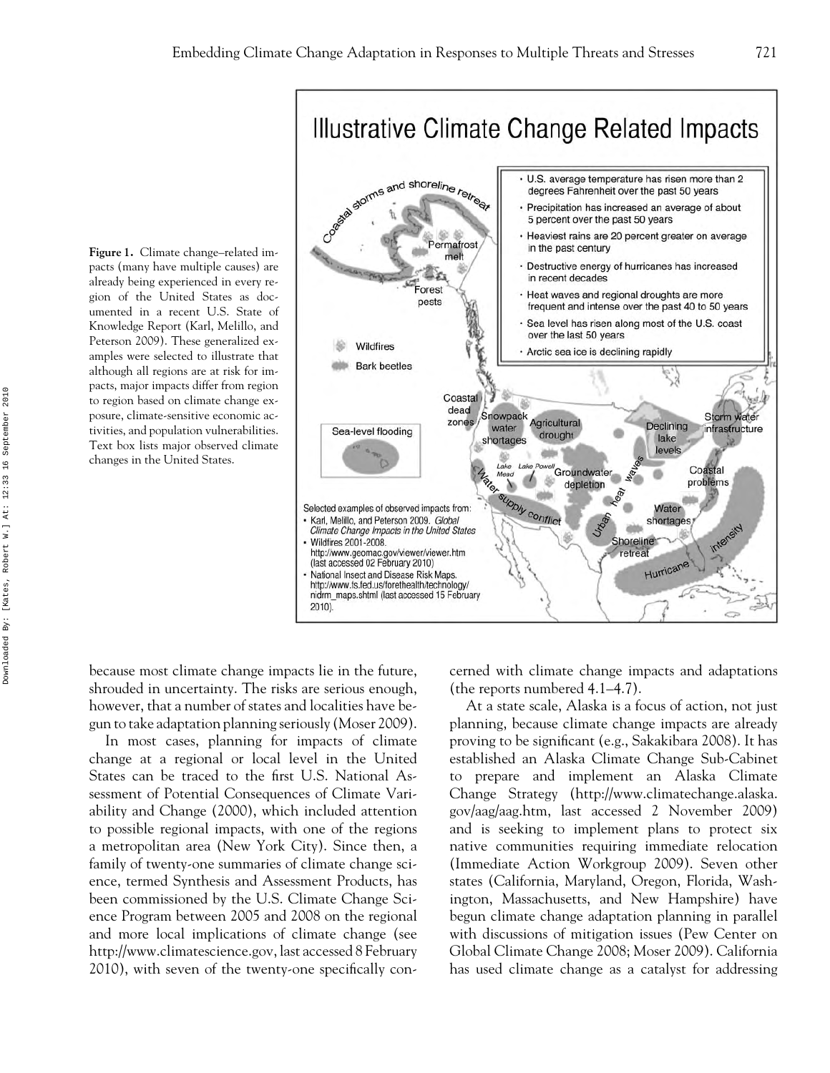



because most climate change impacts lie in the future, shrouded in uncertainty. The risks are serious enough, however, that a number of states and localities have begun to take adaptation planning seriously (Moser 2009).

In most cases, planning for impacts of climate change at a regional or local level in the United States can be traced to the first U.S. National Assessment of Potential Consequences of Climate Variability and Change (2000), which included attention to possible regional impacts, with one of the regions a metropolitan area (New York City). Since then, a family of twenty-one summaries of climate change science, termed Synthesis and Assessment Products, has been commissioned by the U.S. Climate Change Science Program between 2005 and 2008 on the regional and more local implications of climate change (see http://www.climatescience.gov, last accessed 8 February 2010), with seven of the twenty-one specifically concerned with climate change impacts and adaptations (the reports numbered 4.1–4.7).

At a state scale, Alaska is a focus of action, not just planning, because climate change impacts are already proving to be significant (e.g., Sakakibara 2008). It has established an Alaska Climate Change Sub-Cabinet to prepare and implement an Alaska Climate Change Strategy (http://www.climatechange.alaska. gov/aag/aag.htm, last accessed 2 November 2009) and is seeking to implement plans to protect six native communities requiring immediate relocation (Immediate Action Workgroup 2009). Seven other states (California, Maryland, Oregon, Florida, Washington, Massachusetts, and New Hampshire) have begun climate change adaptation planning in parallel with discussions of mitigation issues (Pew Center on Global Climate Change 2008; Moser 2009). California has used climate change as a catalyst for addressing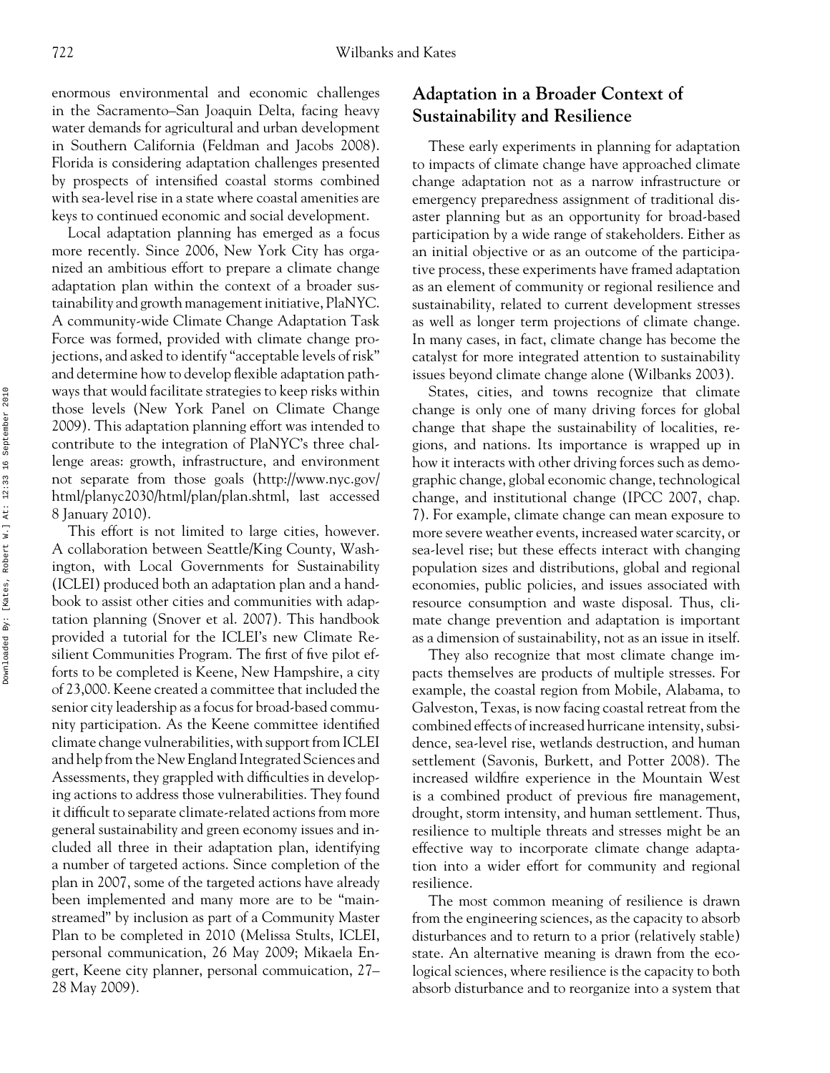enormous environmental and economic challenges in the Sacramento–San Joaquin Delta, facing heavy water demands for agricultural and urban development in Southern California (Feldman and Jacobs 2008). Florida is considering adaptation challenges presented by prospects of intensified coastal storms combined with sea-level rise in a state where coastal amenities are keys to continued economic and social development.

Local adaptation planning has emerged as a focus more recently. Since 2006, New York City has organized an ambitious effort to prepare a climate change adaptation plan within the context of a broader sustainability and growth management initiative, PlaNYC. A community-wide Climate Change Adaptation Task Force was formed, provided with climate change projections, and asked to identify "acceptable levels of risk" and determine how to develop flexible adaptation pathways that would facilitate strategies to keep risks within those levels (New York Panel on Climate Change 2009). This adaptation planning effort was intended to contribute to the integration of PlaNYC's three challenge areas: growth, infrastructure, and environment not separate from those goals (http://www.nyc.gov/ html/planyc2030/html/plan/plan.shtml, last accessed 8 January 2010).

This effort is not limited to large cities, however. A collaboration between Seattle/King County, Washington, with Local Governments for Sustainability (ICLEI) produced both an adaptation plan and a handbook to assist other cities and communities with adaptation planning (Snover et al. 2007). This handbook provided a tutorial for the ICLEI's new Climate Resilient Communities Program. The first of five pilot efforts to be completed is Keene, New Hampshire, a city of 23,000. Keene created a committee that included the senior city leadership as a focus for broad-based community participation. As the Keene committee identified climate change vulnerabilities, with support from ICLEI and help from the New England Integrated Sciences and Assessments, they grappled with difficulties in developing actions to address those vulnerabilities. They found it difficult to separate climate-related actions from more general sustainability and green economy issues and included all three in their adaptation plan, identifying a number of targeted actions. Since completion of the plan in 2007, some of the targeted actions have already been implemented and many more are to be "mainstreamed" by inclusion as part of a Community Master Plan to be completed in 2010 (Melissa Stults, ICLEI, personal communication, 26 May 2009; Mikaela Engert, Keene city planner, personal commuication, 27– 28 May 2009).

## **Adaptation in a Broader Context of Sustainability and Resilience**

These early experiments in planning for adaptation to impacts of climate change have approached climate change adaptation not as a narrow infrastructure or emergency preparedness assignment of traditional disaster planning but as an opportunity for broad-based participation by a wide range of stakeholders. Either as an initial objective or as an outcome of the participative process, these experiments have framed adaptation as an element of community or regional resilience and sustainability, related to current development stresses as well as longer term projections of climate change. In many cases, in fact, climate change has become the catalyst for more integrated attention to sustainability issues beyond climate change alone (Wilbanks 2003).

States, cities, and towns recognize that climate change is only one of many driving forces for global change that shape the sustainability of localities, regions, and nations. Its importance is wrapped up in how it interacts with other driving forces such as demographic change, global economic change, technological change, and institutional change (IPCC 2007, chap. 7). For example, climate change can mean exposure to more severe weather events, increased water scarcity, or sea-level rise; but these effects interact with changing population sizes and distributions, global and regional economies, public policies, and issues associated with resource consumption and waste disposal. Thus, climate change prevention and adaptation is important as a dimension of sustainability, not as an issue in itself.

They also recognize that most climate change impacts themselves are products of multiple stresses. For example, the coastal region from Mobile, Alabama, to Galveston, Texas, is now facing coastal retreat from the combined effects of increased hurricane intensity, subsidence, sea-level rise, wetlands destruction, and human settlement (Savonis, Burkett, and Potter 2008). The increased wildfire experience in the Mountain West is a combined product of previous fire management, drought, storm intensity, and human settlement. Thus, resilience to multiple threats and stresses might be an effective way to incorporate climate change adaptation into a wider effort for community and regional resilience.

The most common meaning of resilience is drawn from the engineering sciences, as the capacity to absorb disturbances and to return to a prior (relatively stable) state. An alternative meaning is drawn from the ecological sciences, where resilience is the capacity to both absorb disturbance and to reorganize into a system that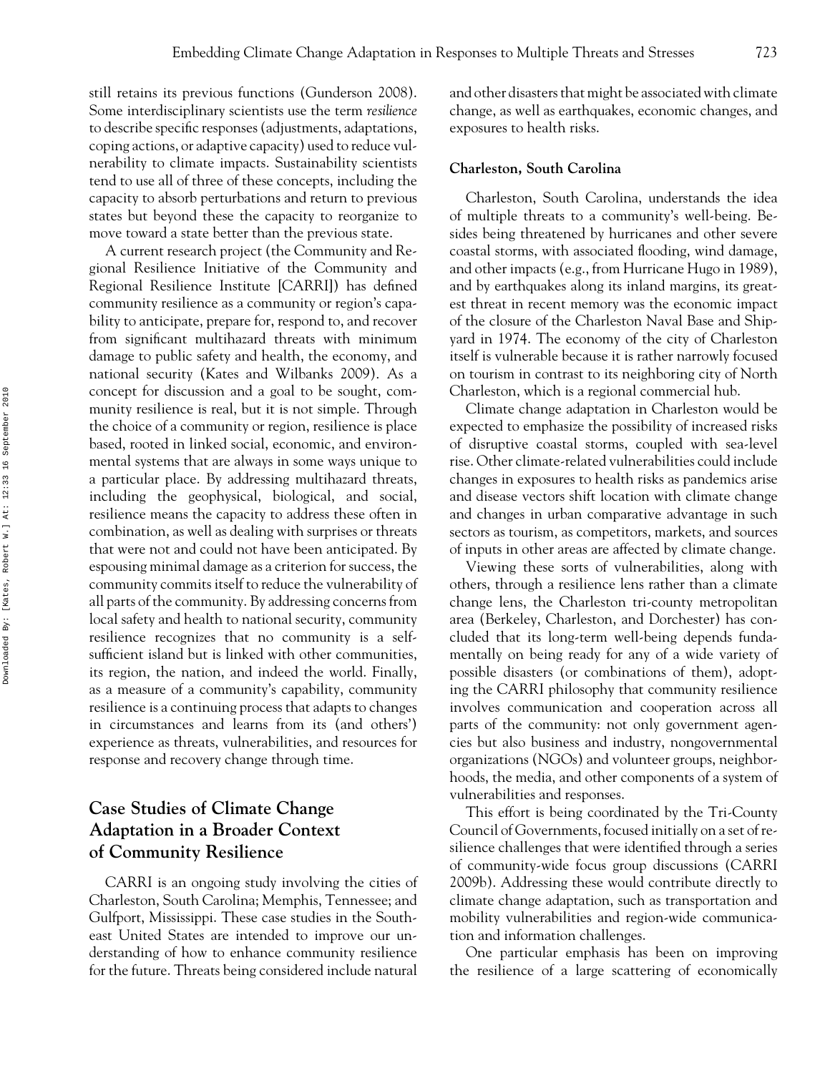still retains its previous functions (Gunderson 2008). Some interdisciplinary scientists use the term *resilience* to describe specific responses (adjustments, adaptations, coping actions, or adaptive capacity) used to reduce vulnerability to climate impacts. Sustainability scientists tend to use all of three of these concepts, including the capacity to absorb perturbations and return to previous states but beyond these the capacity to reorganize to move toward a state better than the previous state.

A current research project (the Community and Regional Resilience Initiative of the Community and Regional Resilience Institute [CARRI]) has defined community resilience as a community or region's capability to anticipate, prepare for, respond to, and recover from significant multihazard threats with minimum damage to public safety and health, the economy, and national security (Kates and Wilbanks 2009). As a concept for discussion and a goal to be sought, community resilience is real, but it is not simple. Through the choice of a community or region, resilience is place based, rooted in linked social, economic, and environmental systems that are always in some ways unique to a particular place. By addressing multihazard threats, including the geophysical, biological, and social, resilience means the capacity to address these often in combination, as well as dealing with surprises or threats that were not and could not have been anticipated. By espousing minimal damage as a criterion for success, the community commits itself to reduce the vulnerability of all parts of the community. By addressing concerns from local safety and health to national security, community resilience recognizes that no community is a selfsufficient island but is linked with other communities, its region, the nation, and indeed the world. Finally, as a measure of a community's capability, community resilience is a continuing process that adapts to changes in circumstances and learns from its (and others') experience as threats, vulnerabilities, and resources for response and recovery change through time.

## **Case Studies of Climate Change Adaptation in a Broader Context of Community Resilience**

CARRI is an ongoing study involving the cities of Charleston, South Carolina; Memphis, Tennessee; and Gulfport, Mississippi. These case studies in the Southeast United States are intended to improve our understanding of how to enhance community resilience for the future. Threats being considered include natural

and other disasters that might be associated with climate change, as well as earthquakes, economic changes, and exposures to health risks.

#### **Charleston, South Carolina**

Charleston, South Carolina, understands the idea of multiple threats to a community's well-being. Besides being threatened by hurricanes and other severe coastal storms, with associated flooding, wind damage, and other impacts (e.g., from Hurricane Hugo in 1989), and by earthquakes along its inland margins, its greatest threat in recent memory was the economic impact of the closure of the Charleston Naval Base and Shipyard in 1974. The economy of the city of Charleston itself is vulnerable because it is rather narrowly focused on tourism in contrast to its neighboring city of North Charleston, which is a regional commercial hub.

Climate change adaptation in Charleston would be expected to emphasize the possibility of increased risks of disruptive coastal storms, coupled with sea-level rise. Other climate-related vulnerabilities could include changes in exposures to health risks as pandemics arise and disease vectors shift location with climate change and changes in urban comparative advantage in such sectors as tourism, as competitors, markets, and sources of inputs in other areas are affected by climate change.

Viewing these sorts of vulnerabilities, along with others, through a resilience lens rather than a climate change lens, the Charleston tri-county metropolitan area (Berkeley, Charleston, and Dorchester) has concluded that its long-term well-being depends fundamentally on being ready for any of a wide variety of possible disasters (or combinations of them), adopting the CARRI philosophy that community resilience involves communication and cooperation across all parts of the community: not only government agencies but also business and industry, nongovernmental organizations (NGOs) and volunteer groups, neighborhoods, the media, and other components of a system of vulnerabilities and responses.

This effort is being coordinated by the Tri-County Council of Governments, focused initially on a set of resilience challenges that were identified through a series of community-wide focus group discussions (CARRI 2009b). Addressing these would contribute directly to climate change adaptation, such as transportation and mobility vulnerabilities and region-wide communication and information challenges.

One particular emphasis has been on improving the resilience of a large scattering of economically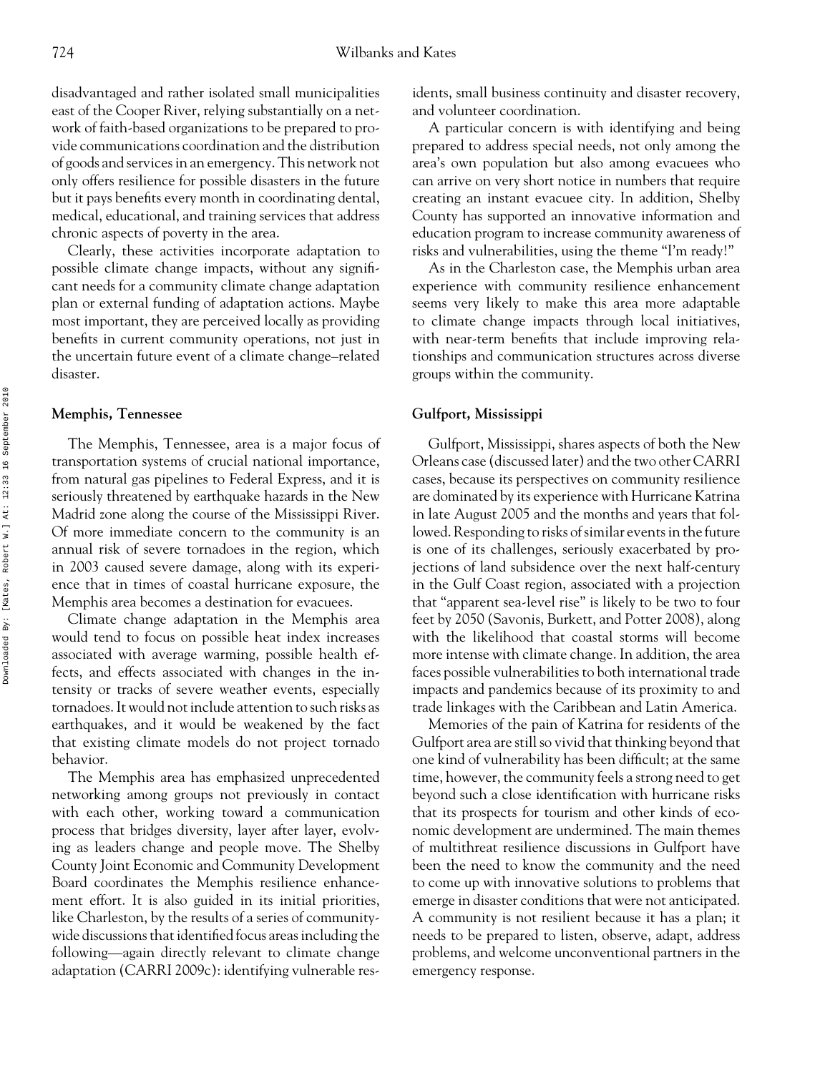disadvantaged and rather isolated small municipalities east of the Cooper River, relying substantially on a network of faith-based organizations to be prepared to provide communications coordination and the distribution of goods and services in an emergency. This network not only offers resilience for possible disasters in the future but it pays benefits every month in coordinating dental, medical, educational, and training services that address chronic aspects of poverty in the area.

Clearly, these activities incorporate adaptation to possible climate change impacts, without any significant needs for a community climate change adaptation plan or external funding of adaptation actions. Maybe most important, they are perceived locally as providing benefits in current community operations, not just in the uncertain future event of a climate change–related disaster.

#### **Memphis, Tennessee**

The Memphis, Tennessee, area is a major focus of transportation systems of crucial national importance, from natural gas pipelines to Federal Express, and it is seriously threatened by earthquake hazards in the New Madrid zone along the course of the Mississippi River. Of more immediate concern to the community is an annual risk of severe tornadoes in the region, which in 2003 caused severe damage, along with its experience that in times of coastal hurricane exposure, the Memphis area becomes a destination for evacuees.

Climate change adaptation in the Memphis area would tend to focus on possible heat index increases associated with average warming, possible health effects, and effects associated with changes in the intensity or tracks of severe weather events, especially tornadoes. It would not include attention to such risks as earthquakes, and it would be weakened by the fact that existing climate models do not project tornado behavior.

The Memphis area has emphasized unprecedented networking among groups not previously in contact with each other, working toward a communication process that bridges diversity, layer after layer, evolving as leaders change and people move. The Shelby County Joint Economic and Community Development Board coordinates the Memphis resilience enhancement effort. It is also guided in its initial priorities, like Charleston, by the results of a series of communitywide discussions that identified focus areas including the following—again directly relevant to climate change adaptation (CARRI 2009c): identifying vulnerable residents, small business continuity and disaster recovery, and volunteer coordination.

A particular concern is with identifying and being prepared to address special needs, not only among the area's own population but also among evacuees who can arrive on very short notice in numbers that require creating an instant evacuee city. In addition, Shelby County has supported an innovative information and education program to increase community awareness of risks and vulnerabilities, using the theme "I'm ready!"

As in the Charleston case, the Memphis urban area experience with community resilience enhancement seems very likely to make this area more adaptable to climate change impacts through local initiatives, with near-term benefits that include improving relationships and communication structures across diverse groups within the community.

#### **Gulfport, Mississippi**

Gulfport, Mississippi, shares aspects of both the New Orleans case (discussed later) and the two other CARRI cases, because its perspectives on community resilience are dominated by its experience with Hurricane Katrina in late August 2005 and the months and years that followed. Responding to risks of similar events in the future is one of its challenges, seriously exacerbated by projections of land subsidence over the next half-century in the Gulf Coast region, associated with a projection that "apparent sea-level rise" is likely to be two to four feet by 2050 (Savonis, Burkett, and Potter 2008), along with the likelihood that coastal storms will become more intense with climate change. In addition, the area faces possible vulnerabilities to both international trade impacts and pandemics because of its proximity to and trade linkages with the Caribbean and Latin America.

Memories of the pain of Katrina for residents of the Gulfport area are still so vivid that thinking beyond that one kind of vulnerability has been difficult; at the same time, however, the community feels a strong need to get beyond such a close identification with hurricane risks that its prospects for tourism and other kinds of economic development are undermined. The main themes of multithreat resilience discussions in Gulfport have been the need to know the community and the need to come up with innovative solutions to problems that emerge in disaster conditions that were not anticipated. A community is not resilient because it has a plan; it needs to be prepared to listen, observe, adapt, address problems, and welcome unconventional partners in the emergency response.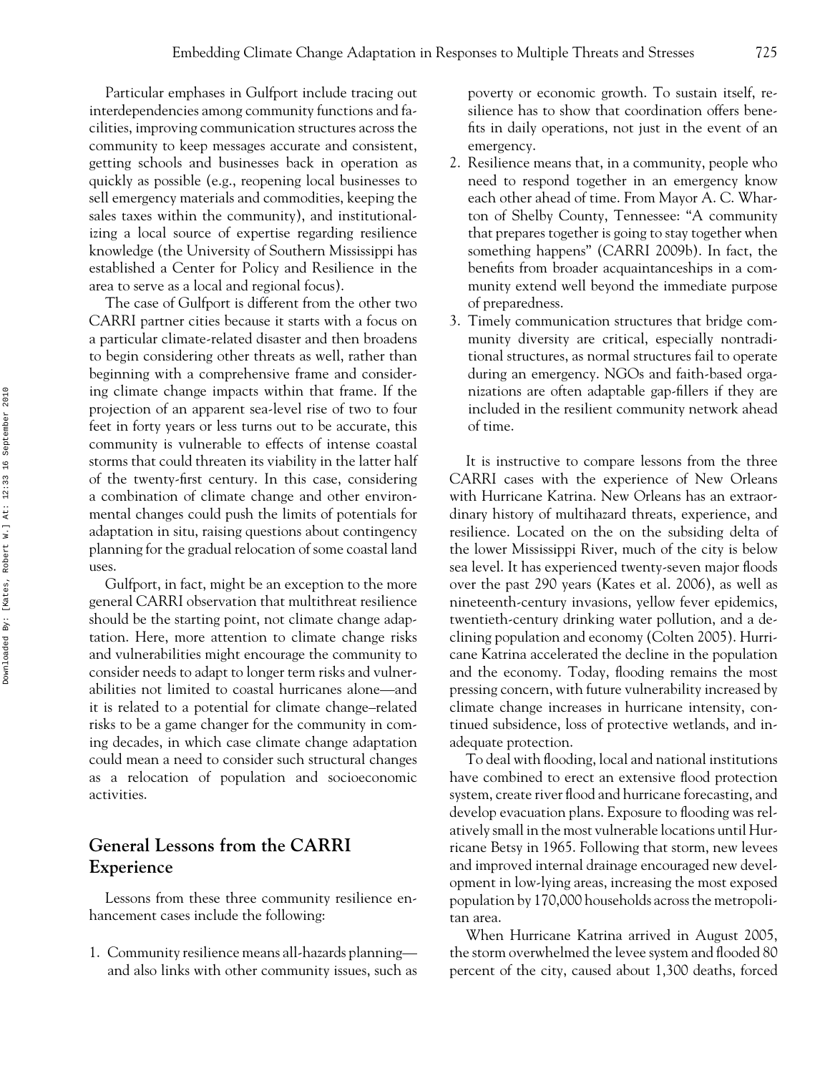Particular emphases in Gulfport include tracing out interdependencies among community functions and facilities, improving communication structures across the community to keep messages accurate and consistent, getting schools and businesses back in operation as quickly as possible (e.g., reopening local businesses to sell emergency materials and commodities, keeping the sales taxes within the community), and institutionalizing a local source of expertise regarding resilience knowledge (the University of Southern Mississippi has established a Center for Policy and Resilience in the area to serve as a local and regional focus).

The case of Gulfport is different from the other two CARRI partner cities because it starts with a focus on a particular climate-related disaster and then broadens to begin considering other threats as well, rather than beginning with a comprehensive frame and considering climate change impacts within that frame. If the projection of an apparent sea-level rise of two to four feet in forty years or less turns out to be accurate, this community is vulnerable to effects of intense coastal storms that could threaten its viability in the latter half of the twenty-first century. In this case, considering a combination of climate change and other environmental changes could push the limits of potentials for adaptation in situ, raising questions about contingency planning for the gradual relocation of some coastal land uses.

Gulfport, in fact, might be an exception to the more general CARRI observation that multithreat resilience should be the starting point, not climate change adaptation. Here, more attention to climate change risks and vulnerabilities might encourage the community to consider needs to adapt to longer term risks and vulnerabilities not limited to coastal hurricanes alone—and it is related to a potential for climate change–related risks to be a game changer for the community in coming decades, in which case climate change adaptation could mean a need to consider such structural changes as a relocation of population and socioeconomic activities.

## **General Lessons from the CARRI Experience**

Lessons from these three community resilience enhancement cases include the following:

1. Community resilience means all-hazards planning and also links with other community issues, such as poverty or economic growth. To sustain itself, resilience has to show that coordination offers benefits in daily operations, not just in the event of an emergency.

- 2. Resilience means that, in a community, people who need to respond together in an emergency know each other ahead of time. From Mayor A. C. Wharton of Shelby County, Tennessee: "A community that prepares together is going to stay together when something happens" (CARRI 2009b). In fact, the benefits from broader acquaintanceships in a community extend well beyond the immediate purpose of preparedness.
- 3. Timely communication structures that bridge community diversity are critical, especially nontraditional structures, as normal structures fail to operate during an emergency. NGOs and faith-based organizations are often adaptable gap-fillers if they are included in the resilient community network ahead of time.

It is instructive to compare lessons from the three CARRI cases with the experience of New Orleans with Hurricane Katrina. New Orleans has an extraordinary history of multihazard threats, experience, and resilience. Located on the on the subsiding delta of the lower Mississippi River, much of the city is below sea level. It has experienced twenty-seven major floods over the past 290 years (Kates et al. 2006), as well as nineteenth-century invasions, yellow fever epidemics, twentieth-century drinking water pollution, and a declining population and economy (Colten 2005). Hurricane Katrina accelerated the decline in the population and the economy. Today, flooding remains the most pressing concern, with future vulnerability increased by climate change increases in hurricane intensity, continued subsidence, loss of protective wetlands, and inadequate protection.

To deal with flooding, local and national institutions have combined to erect an extensive flood protection system, create river flood and hurricane forecasting, and develop evacuation plans. Exposure to flooding was relatively small in the most vulnerable locations until Hurricane Betsy in 1965. Following that storm, new levees and improved internal drainage encouraged new development in low-lying areas, increasing the most exposed population by 170,000 households across the metropolitan area.

When Hurricane Katrina arrived in August 2005, the storm overwhelmed the levee system and flooded 80 percent of the city, caused about 1,300 deaths, forced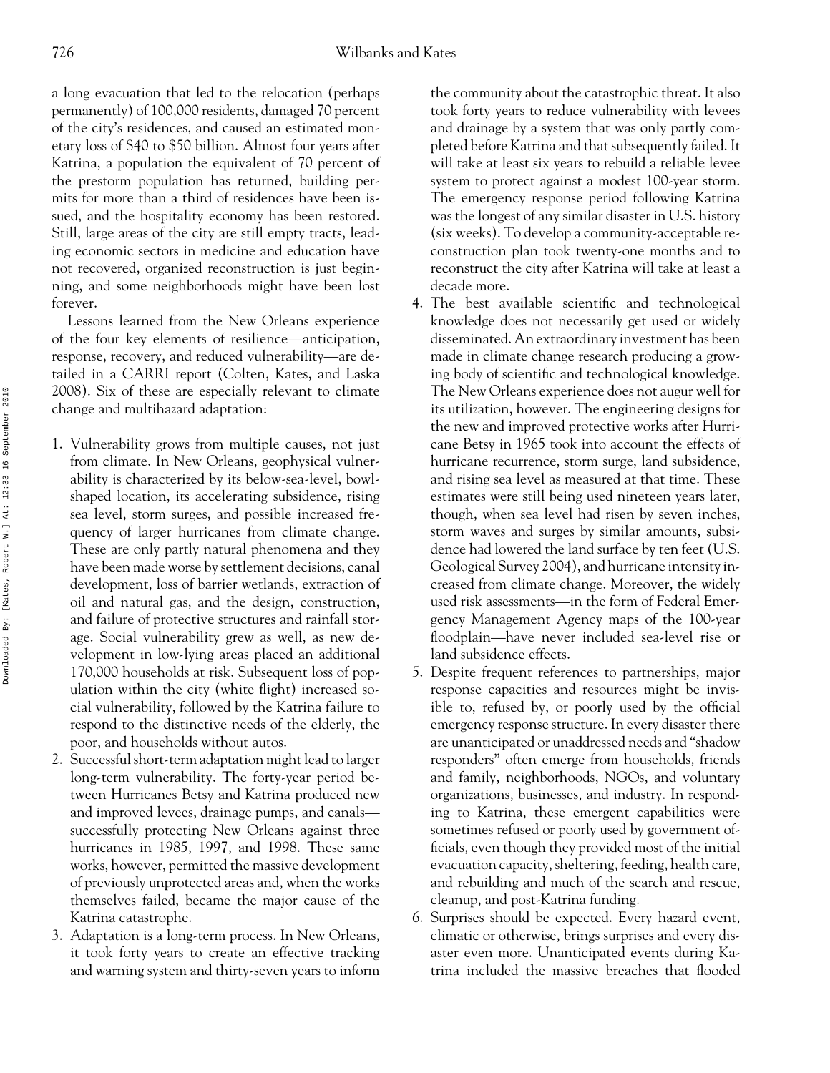a long evacuation that led to the relocation (perhaps permanently) of 100,000 residents, damaged 70 percent of the city's residences, and caused an estimated monetary loss of \$40 to \$50 billion. Almost four years after Katrina, a population the equivalent of 70 percent of the prestorm population has returned, building permits for more than a third of residences have been issued, and the hospitality economy has been restored. Still, large areas of the city are still empty tracts, leading economic sectors in medicine and education have not recovered, organized reconstruction is just beginning, and some neighborhoods might have been lost forever.

Lessons learned from the New Orleans experience of the four key elements of resilience—anticipation, response, recovery, and reduced vulnerability—are detailed in a CARRI report (Colten, Kates, and Laska 2008). Six of these are especially relevant to climate change and multihazard adaptation:

- 1. Vulnerability grows from multiple causes, not just from climate. In New Orleans, geophysical vulnerability is characterized by its below-sea-level, bowlshaped location, its accelerating subsidence, rising sea level, storm surges, and possible increased frequency of larger hurricanes from climate change. These are only partly natural phenomena and they have been made worse by settlement decisions, canal development, loss of barrier wetlands, extraction of oil and natural gas, and the design, construction, and failure of protective structures and rainfall storage. Social vulnerability grew as well, as new development in low-lying areas placed an additional 170,000 households at risk. Subsequent loss of population within the city (white flight) increased social vulnerability, followed by the Katrina failure to respond to the distinctive needs of the elderly, the poor, and households without autos.
- 2. Successful short-term adaptation might lead to larger long-term vulnerability. The forty-year period between Hurricanes Betsy and Katrina produced new and improved levees, drainage pumps, and canals successfully protecting New Orleans against three hurricanes in 1985, 1997, and 1998. These same works, however, permitted the massive development of previously unprotected areas and, when the works themselves failed, became the major cause of the Katrina catastrophe.
- 3. Adaptation is a long-term process. In New Orleans, it took forty years to create an effective tracking and warning system and thirty-seven years to inform

the community about the catastrophic threat. It also took forty years to reduce vulnerability with levees and drainage by a system that was only partly completed before Katrina and that subsequently failed. It will take at least six years to rebuild a reliable levee system to protect against a modest 100-year storm. The emergency response period following Katrina was the longest of any similar disaster in U.S. history (six weeks). To develop a community-acceptable reconstruction plan took twenty-one months and to reconstruct the city after Katrina will take at least a decade more.

- 4. The best available scientific and technological knowledge does not necessarily get used or widely disseminated. An extraordinary investment has been made in climate change research producing a growing body of scientific and technological knowledge. The New Orleans experience does not augur well for its utilization, however. The engineering designs for the new and improved protective works after Hurricane Betsy in 1965 took into account the effects of hurricane recurrence, storm surge, land subsidence, and rising sea level as measured at that time. These estimates were still being used nineteen years later, though, when sea level had risen by seven inches, storm waves and surges by similar amounts, subsidence had lowered the land surface by ten feet (U.S. Geological Survey 2004), and hurricane intensity increased from climate change. Moreover, the widely used risk assessments—in the form of Federal Emergency Management Agency maps of the 100-year floodplain—have never included sea-level rise or land subsidence effects.
- 5. Despite frequent references to partnerships, major response capacities and resources might be invisible to, refused by, or poorly used by the official emergency response structure. In every disaster there are unanticipated or unaddressed needs and "shadow responders" often emerge from households, friends and family, neighborhoods, NGOs, and voluntary organizations, businesses, and industry. In responding to Katrina, these emergent capabilities were sometimes refused or poorly used by government officials, even though they provided most of the initial evacuation capacity, sheltering, feeding, health care, and rebuilding and much of the search and rescue, cleanup, and post-Katrina funding.
- 6. Surprises should be expected. Every hazard event, climatic or otherwise, brings surprises and every disaster even more. Unanticipated events during Katrina included the massive breaches that flooded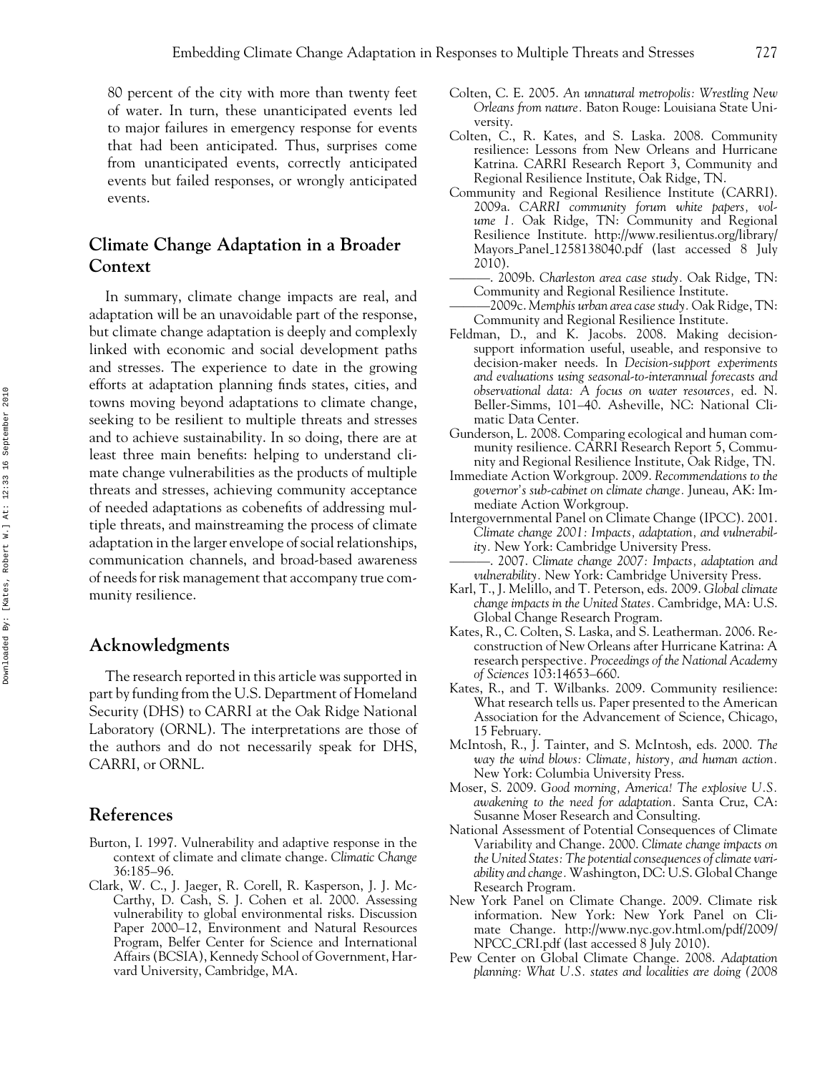80 percent of the city with more than twenty feet of water. In turn, these unanticipated events led to major failures in emergency response for events that had been anticipated. Thus, surprises come from unanticipated events, correctly anticipated events but failed responses, or wrongly anticipated events.

## **Climate Change Adaptation in a Broader Context**

In summary, climate change impacts are real, and adaptation will be an unavoidable part of the response, but climate change adaptation is deeply and complexly linked with economic and social development paths and stresses. The experience to date in the growing efforts at adaptation planning finds states, cities, and towns moving beyond adaptations to climate change, seeking to be resilient to multiple threats and stresses and to achieve sustainability. In so doing, there are at least three main benefits: helping to understand climate change vulnerabilities as the products of multiple threats and stresses, achieving community acceptance of needed adaptations as cobenefits of addressing multiple threats, and mainstreaming the process of climate adaptation in the larger envelope of social relationships, communication channels, and broad-based awareness of needs for risk management that accompany true community resilience.

### **Acknowledgments**

The research reported in this article was supported in part by funding from the U.S. Department of Homeland Security (DHS) to CARRI at the Oak Ridge National Laboratory (ORNL). The interpretations are those of the authors and do not necessarily speak for DHS, CARRI, or ORNL.

## **References**

- Burton, I. 1997. Vulnerability and adaptive response in the context of climate and climate change. *Climatic Change* 36:185–96.
- Clark, W. C., J. Jaeger, R. Corell, R. Kasperson, J. J. Mc-Carthy, D. Cash, S. J. Cohen et al. 2000. Assessing vulnerability to global environmental risks. Discussion Paper 2000–12, Environment and Natural Resources Program, Belfer Center for Science and International Affairs (BCSIA), Kennedy School of Government, Harvard University, Cambridge, MA.
- Colten, C. E. 2005. *An unnatural metropolis: Wrestling New Orleans from nature.* Baton Rouge: Louisiana State University.
- Colten, C., R. Kates, and S. Laska. 2008. Community resilience: Lessons from New Orleans and Hurricane Katrina. CARRI Research Report 3, Community and Regional Resilience Institute, Oak Ridge, TN.
- Community and Regional Resilience Institute (CARRI). 2009a. *CARRI community forum white papers, volume 1.* Oak Ridge, TN: Community and Regional Resilience Institute. http://www.resilientus.org/library/ Mayors Panel 1258138040.pdf (last accessed 8 July 2010).
- ———. 2009b. *Charleston area case study.* Oak Ridge, TN: Community and Regional Resilience Institute.
- ———2009c. *Memphis urban area case study.* Oak Ridge, TN: Community and Regional Resilience Institute.
- Feldman, D., and K. Jacobs. 2008. Making decisionsupport information useful, useable, and responsive to decision-maker needs. In *Decision-support experiments and evaluations using seasonal-to-interannual forecasts and observational data: A focus on water resources,* ed. N. Beller-Simms, 101–40. Asheville, NC: National Climatic Data Center.
- Gunderson, L. 2008. Comparing ecological and human community resilience. CARRI Research Report 5, Community and Regional Resilience Institute, Oak Ridge, TN.
- Immediate Action Workgroup. 2009. *Recommendations to the governor's sub-cabinet on climate change.* Juneau, AK: Immediate Action Workgroup.
- Intergovernmental Panel on Climate Change (IPCC). 2001. *Climate change 2001: Impacts, adaptation, and vulnerability.* New York: Cambridge University Press.
- ———. 2007. *Climate change 2007: Impacts, adaptation and vulnerability.* New York: Cambridge University Press.
- Karl, T., J. Melillo, and T. Peterson, eds. 2009. *Global climate change impacts in the United States.* Cambridge, MA: U.S. Global Change Research Program.
- Kates, R., C. Colten, S. Laska, and S. Leatherman. 2006. Reconstruction of New Orleans after Hurricane Katrina: A research perspective*. Proceedings of the National Academy of Sciences* 103:14653–660.
- Kates, R., and T. Wilbanks. 2009. Community resilience: What research tells us. Paper presented to the American Association for the Advancement of Science, Chicago, 15 February.
- McIntosh, R., J. Tainter, and S. McIntosh, eds. 2000. *The way the wind blows: Climate, history, and human action.* New York: Columbia University Press.
- Moser, S. 2009. *Good morning, America! The explosive U.S. awakening to the need for adaptation.* Santa Cruz, CA: Susanne Moser Research and Consulting.
- National Assessment of Potential Consequences of Climate Variability and Change. 2000. *Climate change impacts on the United States: The potential consequences of climate variability and change.* Washington, DC: U.S. Global Change Research Program.
- New York Panel on Climate Change. 2009. Climate risk information. New York: New York Panel on Climate Change. http://www.nyc.gov.html.om/pdf/2009/ NPCC CRI.pdf (last accessed 8 July 2010).
- Pew Center on Global Climate Change. 2008. *Adaptation planning: What U.S. states and localities are doing (2008*